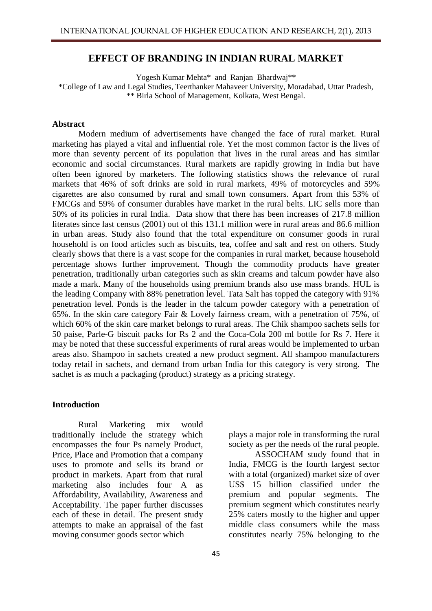## **EFFECT OF BRANDING IN INDIAN RURAL MARKET**

Yogesh Kumar Mehta\* and Ranjan Bhardwaj\*\* \*College of Law and Legal Studies, Teerthanker Mahaveer University, Moradabad, Uttar Pradesh, \*\* Birla School of Management, Kolkata, West Bengal.

#### **Abstract**

Modern medium of advertisements have changed the face of rural market. Rural marketing has played a vital and influential role. Yet the most common factor is the lives of more than seventy percent of its population that lives in the rural areas and has similar economic and social circumstances. Rural markets are rapidly growing in India but have often been ignored by marketers. The following statistics shows the relevance of rural markets that 46% of soft drinks are sold in rural markets, 49% of motorcycles and 59% cigarettes are also consumed by rural and small town consumers. Apart from this 53% of FMCGs and 59% of consumer durables have market in the rural belts. LIC sells more than 50% of its policies in rural India. Data show that there has been increases of 217.8 million literates since last census (2001) out of this 131.1 million were in rural areas and 86.6 million in urban areas. Study also found that the total expenditure on consumer goods in rural household is on food articles such as biscuits, tea, coffee and salt and rest on others. Study clearly shows that there is a vast scope for the companies in rural market, because household percentage shows further improvement. Though the commodity products have greater penetration, traditionally urban categories such as skin creams and talcum powder have also made a mark. Many of the households using premium brands also use mass brands. HUL is the leading Company with 88% penetration level. Tata Salt has topped the category with 91% penetration level. Ponds is the leader in the talcum powder category with a penetration of 65%. In the skin care category Fair & Lovely fairness cream, with a penetration of 75%, of which 60% of the skin care market belongs to rural areas. The Chik shampoo sachets sells for 50 paise, Parle-G biscuit packs for Rs 2 and the Coca-Cola 200 ml bottle for Rs 7. Here it may be noted that these successful experiments of rural areas would be implemented to urban areas also. Shampoo in sachets created a new product segment. All shampoo manufacturers today retail in sachets, and demand from urban India for this category is very strong. The sachet is as much a packaging (product) strategy as a pricing strategy.

#### **Introduction**

Rural Marketing mix would traditionally include the strategy which encompasses the four Ps namely Product, Price, Place and Promotion that a company uses to promote and sells its brand or product in markets. Apart from that rural marketing also includes four A as Affordability, Availability, Awareness and Acceptability. The paper further discusses each of these in detail. The present study attempts to make an appraisal of the fast moving consumer goods sector which

plays a major role in transforming the rural society as per the needs of the rural people.

ASSOCHAM study found that in India, FMCG is the fourth largest sector with a total (organized) market size of over US\$ 15 billion classified under the premium and popular segments. The premium segment which constitutes nearly 25% caters mostly to the higher and upper middle class consumers while the mass constitutes nearly 75% belonging to the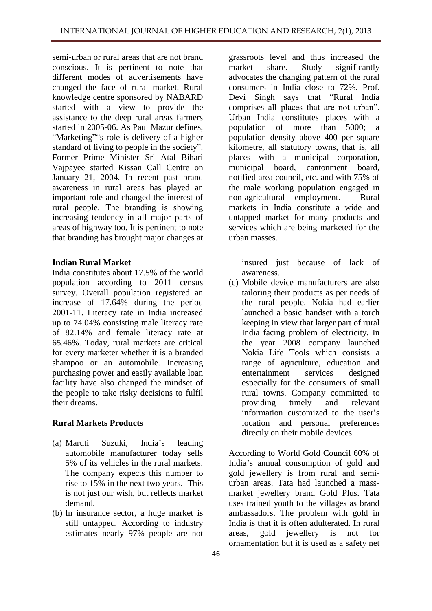semi-urban or rural areas that are not brand conscious. It is pertinent to note that different modes of advertisements have changed the face of rural market. Rural knowledge centre sponsored by NABARD started with a view to provide the assistance to the deep rural areas farmers started in 2005-06. As Paul Mazur defines, "Marketing""s role is delivery of a higher standard of living to people in the society". Former Prime Minister Sri Atal Bihari Vajpayee started Kissan Call Centre on January 21, 2004. In recent past brand awareness in rural areas has played an important role and changed the interest of rural people. The branding is showing increasing tendency in all major parts of areas of highway too. It is pertinent to note that branding has brought major changes at

## **Indian Rural Market**

India constitutes about 17.5% of the world population according to 2011 census survey. Overall population registered an increase of 17.64% during the period 2001-11. Literacy rate in India increased up to 74.04% consisting male literacy rate of 82.14% and female literacy rate at 65.46%. Today, rural markets are critical for every marketer whether it is a branded shampoo or an automobile. Increasing purchasing power and easily available loan facility have also changed the mindset of the people to take risky decisions to fulfil their dreams.

## **Rural Markets Products**

- (a) Maruti Suzuki, India's leading automobile manufacturer today sells 5% of its vehicles in the rural markets. The company expects this number to rise to 15% in the next two years. This is not just our wish, but reflects market demand.
- (b) In insurance sector, a huge market is still untapped. According to industry estimates nearly 97% people are not

grassroots level and thus increased the market share. Study significantly advocates the changing pattern of the rural consumers in India close to 72%. Prof. Devi Singh says that "Rural India comprises all places that are not urban". Urban India constitutes places with a population of more than 5000; a population density above 400 per square kilometre, all statutory towns, that is, all places with a municipal corporation, municipal board, cantonment board, notified area council, etc. and with 75% of the male working population engaged in non-agricultural employment. Rural markets in India constitute a wide and untapped market for many products and services which are being marketed for the urban masses.

insured just because of lack of awareness.

(c) Mobile device manufacturers are also tailoring their products as per needs of the rural people. Nokia had earlier launched a basic handset with a torch keeping in view that larger part of rural India facing problem of electricity. In the year 2008 company launched Nokia Life Tools which consists a range of agriculture, education and entertainment services designed especially for the consumers of small rural towns. Company committed to providing timely and relevant information customized to the user's location and personal preferences directly on their mobile devices.

According to World Gold Council 60% of India's annual consumption of gold and gold jewellery is from rural and semiurban areas. Tata had launched a massmarket jewellery brand Gold Plus. Tata uses trained youth to the villages as brand ambassadors. The problem with gold in India is that it is often adulterated. In rural areas, gold jewellery is not for ornamentation but it is used as a safety net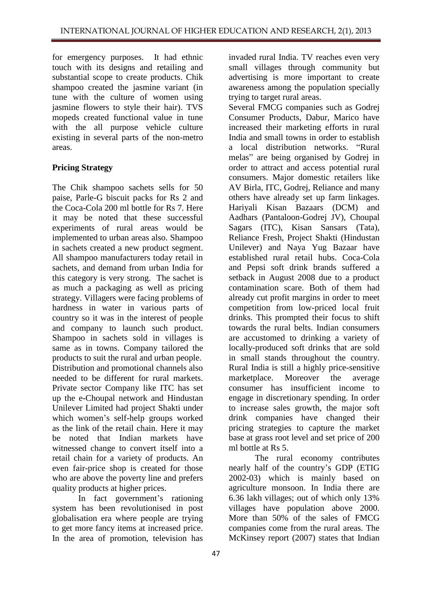for emergency purposes. It had ethnic touch with its designs and retailing and substantial scope to create products. Chik shampoo created the jasmine variant (in tune with the culture of women using jasmine flowers to style their hair). TVS mopeds created functional value in tune with the all purpose vehicle culture existing in several parts of the non-metro areas.

# **Pricing Strategy**

The Chik shampoo sachets sells for 50 paise, Parle-G biscuit packs for Rs 2 and the Coca-Cola 200 ml bottle for Rs 7. Here it may be noted that these successful experiments of rural areas would be implemented to urban areas also. Shampoo in sachets created a new product segment. All shampoo manufacturers today retail in sachets, and demand from urban India for this category is very strong. The sachet is as much a packaging as well as pricing strategy. Villagers were facing problems of hardness in water in various parts of country so it was in the interest of people and company to launch such product. Shampoo in sachets sold in villages is same as in towns. Company tailored the products to suit the rural and urban people. Distribution and promotional channels also needed to be different for rural markets. Private sector Company like ITC has set up the e-Choupal network and Hindustan Unilever Limited had project Shakti under which women's self-help groups worked as the link of the retail chain. Here it may be noted that Indian markets have witnessed change to convert itself into a retail chain for a variety of products. An even fair-price shop is created for those who are above the poverty line and prefers quality products at higher prices.

In fact government's rationing system has been revolutionised in post globalisation era where people are trying to get more fancy items at increased price. In the area of promotion, television has

invaded rural India. TV reaches even very small villages through community but advertising is more important to create awareness among the population specially trying to target rural areas.

Several FMCG companies such as Godrej Consumer Products, Dabur, Marico have increased their marketing efforts in rural India and small towns in order to establish a local distribution networks. "Rural melas" are being organised by Godrej in order to attract and access potential rural consumers. Major domestic retailers like AV Birla, ITC, Godrej, Reliance and many others have already set up farm linkages. Hariyali Kisan Bazaars (DCM) and Aadhars (Pantaloon-Godrej JV), Choupal Sagars (ITC), Kisan Sansars (Tata), Reliance Fresh, Project Shakti (Hindustan Unilever) and Naya Yug Bazaar have established rural retail hubs. Coca-Cola and Pepsi soft drink brands suffered a setback in August 2008 due to a product contamination scare. Both of them had already cut profit margins in order to meet competition from low-priced local fruit drinks. This prompted their focus to shift towards the rural belts. Indian consumers are accustomed to drinking a variety of locally-produced soft drinks that are sold in small stands throughout the country. Rural India is still a highly price-sensitive marketplace. Moreover the average consumer has insufficient income to engage in discretionary spending. In order to increase sales growth, the major soft drink companies have changed their pricing strategies to capture the market base at grass root level and set price of 200 ml bottle at Rs 5.

The rural economy contributes nearly half of the country's GDP (ETIG 2002-03) which is mainly based on agriculture monsoon. In India there are 6.36 lakh villages; out of which only 13% villages have population above 2000. More than 50% of the sales of FMCG companies come from the rural areas. The McKinsey report (2007) states that Indian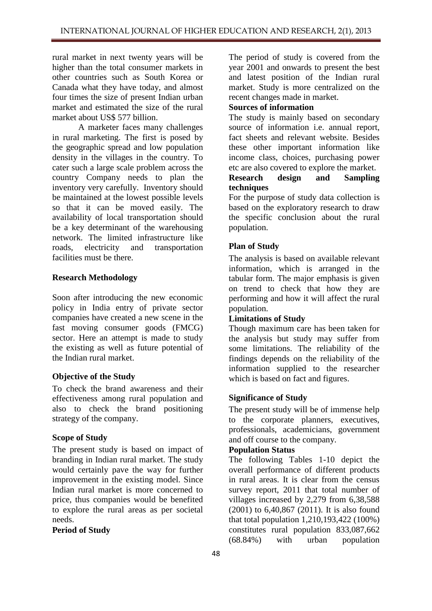rural market in next twenty years will be higher than the total consumer markets in other countries such as South Korea or Canada what they have today, and almost four times the size of present Indian urban market and estimated the size of the rural market about US\$ 577 billion.

A marketer faces many challenges in rural marketing. The first is posed by the geographic spread and low population density in the villages in the country. To cater such a large scale problem across the country Company needs to plan the inventory very carefully. Inventory should be maintained at the lowest possible levels so that it can be moved easily. The availability of local transportation should be a key determinant of the warehousing network. The limited infrastructure like roads, electricity and transportation facilities must be there.

## **Research Methodology**

Soon after introducing the new economic policy in India entry of private sector companies have created a new scene in the fast moving consumer goods (FMCG) sector. Here an attempt is made to study the existing as well as future potential of the Indian rural market.

# **Objective of the Study**

To check the brand awareness and their effectiveness among rural population and also to check the brand positioning strategy of the company.

## **Scope of Study**

The present study is based on impact of branding in Indian rural market. The study would certainly pave the way for further improvement in the existing model. Since Indian rural market is more concerned to price, thus companies would be benefited to explore the rural areas as per societal needs.

**Period of Study**

The period of study is covered from the year 2001 and onwards to present the best and latest position of the Indian rural market. Study is more centralized on the recent changes made in market.

# **Sources of information**

The study is mainly based on secondary source of information i.e. annual report, fact sheets and relevant website. Besides these other important information like income class, choices, purchasing power etc are also covered to explore the market.

## **Research design and Sampling techniques**

For the purpose of study data collection is based on the exploratory research to draw the specific conclusion about the rural population.

# **Plan of Study**

The analysis is based on available relevant information, which is arranged in the tabular form. The major emphasis is given on trend to check that how they are performing and how it will affect the rural population.

## **Limitations of Study**

Though maximum care has been taken for the analysis but study may suffer from some limitations. The reliability of the findings depends on the reliability of the information supplied to the researcher which is based on fact and figures.

## **Significance of Study**

The present study will be of immense help to the corporate planners, executives, professionals, academicians, government and off course to the company.

## **Population Status**

The following Tables 1-10 depict the overall performance of different products in rural areas. It is clear from the census survey report, 2011 that total number of villages increased by 2,279 from 6,38,588 (2001) to 6,40,867 (2011). It is also found that total population 1,210,193,422 (100%) constitutes rural population 833,087,662 (68.84%) with urban population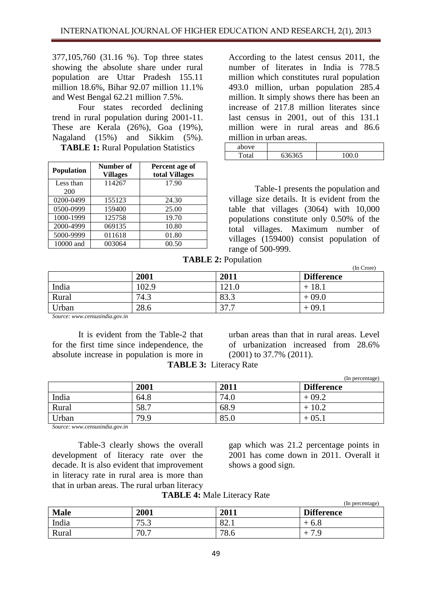377,105,760 (31.16 %). Top three states showing the absolute share under rural population are Uttar Pradesh 155.11 million 18.6%, Bihar 92.07 million 11.1% and West Bengal 62.21 million 7.5%.

Four states recorded declining trend in rural population during 2001-11. These are Kerala (26%), Goa (19%), Nagaland (15%) and Sikkim (5%). **TABLE 1:** Rural Population Statistics

| <b>Population</b> | Number of<br><b>Villages</b> | Percent age of<br>total Villages |
|-------------------|------------------------------|----------------------------------|
| Less than<br>200  | 114267                       | 17.90                            |
| 0200-0499         | 155123                       | 24.30                            |
| 0500-0999         | 159400                       | 25.00                            |
| 1000-1999         | 125758                       | 19.70                            |
| 2000-4999         | 069135                       | 10.80                            |
| 5000-9999         | 011618                       | 01.80                            |
| 10000 and         | 003064                       | 00.50                            |

According to the latest census 2011, the number of literates in India is 778.5 million which constitutes rural population 493.0 million, urban population 285.4 million. It simply shows there has been an increase of 217.8 million literates since last census in 2001, out of this 131.1 million were in rural areas and 86.6 million in urban areas.

| above |                                  |            |
|-------|----------------------------------|------------|
| ◡     | $\epsilon$ 262 $\epsilon$ 5<br>◡ | $\sqrt{2}$ |

Table-1 presents the population and village size details. It is evident from the table that villages (3064) with 10,000 populations constitute only 0.50% of the total villages. Maximum number of villages (159400) consist population of range of 500-999.

**TABLE 2:** Population

|       |      |           | (In Crore)        |
|-------|------|-----------|-------------------|
|       | 2001 | 2011      | <b>Difference</b> |
| India | 02.9 | 21.0      | $+18.1$           |
| Rural | 74.3 | 83.3      | $+09.0$           |
| Urban | 28.6 | 27<br>. . | $+09.$            |

*Source: www.censusindia.gov.in*

It is evident from the Table-2 that for the first time since independence, the absolute increase in population is more in  **TABLE 3:** Literacy Rate

urban areas than that in rural areas. Level of urbanization increased from 28.6% (2001) to 37.7% (2011).

| <b>FABLE 3: Literacy Rate</b> |  |  |
|-------------------------------|--|--|
|-------------------------------|--|--|

|       |      |      | (In percentage)   |
|-------|------|------|-------------------|
|       | 2001 | 2011 | <b>Difference</b> |
| India | 64.8 | 74.0 | $+09.2$           |
| Rural | 58.7 | 68.9 | 10.2              |
| Urban | 79.9 | 85.0 | $+05.$            |

*Source: www.censusindia.gov.in*

Table-3 clearly shows the overall development of literacy rate over the decade. It is also evident that improvement in literacy rate in rural area is more than that in urban areas. The rural urban literacy

gap which was 21.2 percentage points in 2001 has come down in 2011. Overall it shows a good sign.

**TABLE 4:** Male Literacy Rate

|             |                      |                         | (In percentage)   |
|-------------|----------------------|-------------------------|-------------------|
| <b>Male</b> | 2001                 | 2011                    | <b>Difference</b> |
| India       | 75.2<br>ر. ر         | $\Omega$<br>$0\angle 1$ | 6.8<br>÷          |
| Rural       | 70.7<br>$'U_{\cdot}$ | 78.6                    |                   |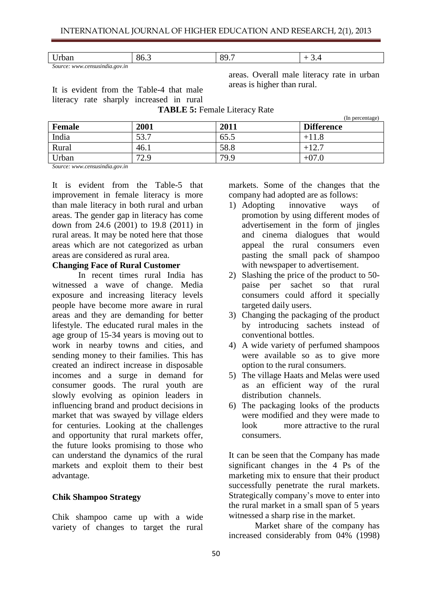|  | T<br>$\mathbf{U}$<br>.<br>n n<br>$\mathsf{u}$ | $\mathbf{O}$ | <u>.</u> |
|--|-----------------------------------------------|--------------|----------|
|--|-----------------------------------------------|--------------|----------|

*Source: www.censusindia.gov.in*

It is evident from the Table-4 that male literacy rate sharply increased in rural

areas. Overall male literacy rate in urban areas is higher than rural.

|               |             |      | (In percentage)   |
|---------------|-------------|------|-------------------|
| <b>Female</b> | 2001        | 2011 | <b>Difference</b> |
| India         | 53.7        | 65.5 |                   |
| Rural         | 46.1        | 58.8 | $+12$             |
| Urban         | 72 Q<br>4.7 | 79.9 | $+07.0$           |

**TABLE 5:** Female Literacy Rate

*Source: www.censusindia.gov.in*

It is evident from the Table-5 that improvement in female literacy is more than male literacy in both rural and urban areas. The gender gap in literacy has come down from 24.6 (2001) to 19.8 (2011) in rural areas. It may be noted here that those areas which are not categorized as urban areas are considered as rural area.

#### **Changing Face of Rural Customer**

In recent times rural India has witnessed a wave of change. Media exposure and increasing literacy levels people have become more aware in rural areas and they are demanding for better lifestyle. The educated rural males in the age group of 15-34 years is moving out to work in nearby towns and cities, and sending money to their families. This has created an indirect increase in disposable incomes and a surge in demand for consumer goods. The rural youth are slowly evolving as opinion leaders in influencing brand and product decisions in market that was swayed by village elders for centuries. Looking at the challenges and opportunity that rural markets offer, the future looks promising to those who can understand the dynamics of the rural markets and exploit them to their best advantage.

#### **Chik Shampoo Strategy**

Chik shampoo came up with a wide variety of changes to target the rural markets. Some of the changes that the company had adopted are as follows:

- 1) Adopting innovative ways of promotion by using different modes of advertisement in the form of jingles and cinema dialogues that would appeal the rural consumers even pasting the small pack of shampoo with newspaper to advertisement.
- 2) Slashing the price of the product to 50 paise per sachet so that rural consumers could afford it specially targeted daily users.
- 3) Changing the packaging of the product by introducing sachets instead of conventional bottles.
- 4) A wide variety of perfumed shampoos were available so as to give more option to the rural consumers.
- 5) The village Haats and Melas were used as an efficient way of the rural distribution channels.
- 6) The packaging looks of the products were modified and they were made to look more attractive to the rural consumers.

It can be seen that the Company has made significant changes in the 4 Ps of the marketing mix to ensure that their product successfully penetrate the rural markets. Strategically company's move to enter into the rural market in a small span of 5 years witnessed a sharp rise in the market.

Market share of the company has increased considerably from 04% (1998)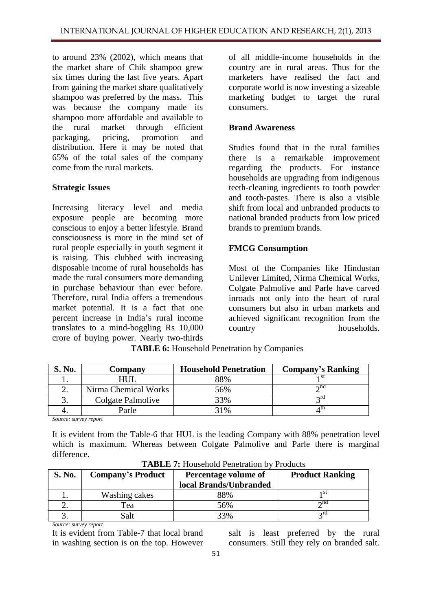to around 23% (2002), which means that the market share of Chik shampoo grew six times during the last five years. Apart from gaining the market share qualitatively shampoo was preferred by the mass. This was because the company made its shampoo more affordable and available to the rural market through efficient packaging, pricing, promotion and distribution. Here it may be noted that 65% of the total sales of the company come from the rural markets.

# **Strategic Issues**

Increasing literacy level and media exposure people are becoming more conscious to enjoy a better lifestyle. Brand consciousness is more in the mind set of rural people especially in youth segment it is raising. This clubbed with increasing disposable income of rural households has made the rural consumers more demanding in purchase behaviour than ever before. Therefore, rural India offers a tremendous market potential. It is a fact that one percent increase in India's rural income translates to a mind-boggling Rs 10,000 crore of buying power. Nearly two-thirds of all middle-income households in the country are in rural areas. Thus for the marketers have realised the fact and corporate world is now investing a sizeable marketing budget to target the rural consumers.

# **Brand Awareness**

Studies found that in the rural families there is a remarkable improvement regarding the products. For instance households are upgrading from indigenous teeth-cleaning ingredients to tooth powder and tooth-pastes. There is also a visible shift from local and unbranded products to national branded products from low priced brands to premium brands.

# **FMCG Consumption**

Most of the Companies like Hindustan Unilever Limited, Nirma Chemical Works, Colgate Palmolive and Parle have carved inroads not only into the heart of rural consumers but also in urban markets and achieved significant recognition from the country households.

| S. No. | Company              | <b>Household Penetration</b> | <b>Company's Ranking</b> |
|--------|----------------------|------------------------------|--------------------------|
|        | HUL                  | 88%                          |                          |
|        | Nirma Chemical Works | 56%                          | $\sim$ nd                |
|        | Colgate Palmolive    | 33%                          |                          |
|        | Parle                | 31%                          |                          |

 **TABLE 6:** Household Penetration by Companies

*Source: survey report*

It is evident from the Table-6 that HUL is the leading Company with 88% penetration level which is maximum. Whereas between Colgate Palmolive and Parle there is marginal difference.

| <b>S. No.</b> | <b>Company's Product</b> | Percentage volume of<br>local Brands/Unbranded | <b>Product Ranking</b> |
|---------------|--------------------------|------------------------------------------------|------------------------|
|               | Washing cakes            | 88%                                            | ъı                     |
|               | Tea                      | 56%                                            | $\lambda$ nd           |
|               | Salt                     | 33%                                            | $\gamma$ rd            |

**TABLE 7:** Household Penetration by Products

*Source: survey report*

It is evident from Table-7 that local brand in washing section is on the top. However salt is least preferred by the rural consumers. Still they rely on branded salt.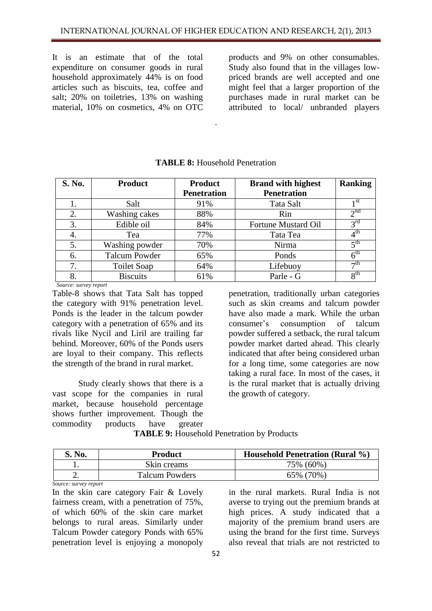It is an estimate that of the total expenditure on consumer goods in rural household approximately 44% is on food articles such as biscuits, tea, coffee and salt; 20% on toiletries, 13% on washing material, 10% on cosmetics, 4% on OTC

products and 9% on other consumables. Study also found that in the villages lowpriced brands are well accepted and one might feel that a larger proportion of the purchases made in rural market can be attributed to local/ unbranded players

| S. No. | <b>Product</b>       | <b>Product</b>     | <b>Brand with highest</b>  | <b>Ranking</b>  |
|--------|----------------------|--------------------|----------------------------|-----------------|
|        |                      | <b>Penetration</b> | <b>Penetration</b>         |                 |
|        | Salt                 | 91%                | Tata Salt                  | 1 <sup>st</sup> |
| 2.     | Washing cakes        | 88%                | Rin                        | 2 <sup>nd</sup> |
| 3.     | Edible oil           | 84%                | <b>Fortune Mustard Oil</b> | $3^{\text{rd}}$ |
| 4.     | Tea                  | 77%                | Tata Tea                   | $4^{\text{th}}$ |
| 5.     | Washing powder       | 70%                | Nirma                      | 5 <sup>th</sup> |
| 6.     | <b>Talcum Powder</b> | 65%                | Ponds                      | 6 <sup>th</sup> |
| 7.     | Toilet Soap          | 64%                | Lifebuoy                   | $\neg$ th       |
| 8.     | <b>Biscuits</b>      | 61%                | Parle - G                  | 8 <sup>th</sup> |

#### **TABLE 8:** Household Penetration

.

 *Source: survey report*

Table-8 shows that Tata Salt has topped the category with 91% penetration level. Ponds is the leader in the talcum powder category with a penetration of 65% and its rivals like Nycil and Liril are trailing far behind. Moreover, 60% of the Ponds users are loyal to their company. This reflects the strength of the brand in rural market.

Study clearly shows that there is a vast scope for the companies in rural market, because household percentage shows further improvement. Though the commodity products have greater<br> **TAPLE 0:** Hencefold P.

penetration, traditionally urban categories such as skin creams and talcum powder have also made a mark. While the urban consumer's consumption of talcum powder suffered a setback, the rural talcum powder market darted ahead. This clearly indicated that after being considered urban for a long time, some categories are now taking a rural face. In most of the cases, it is the rural market that is actually driving the growth of category.

| <b>TABLE 9:</b> Household Penetration by Products |  |
|---------------------------------------------------|--|
|                                                   |  |

| S. No. | <b>Product</b>        | <b>Household Penetration (Rural %)</b> |
|--------|-----------------------|----------------------------------------|
|        | Skin creams           | 75% (60%)                              |
|        | <b>Talcum Powders</b> | 65% (70%)                              |

*Source: survey report*

In the skin care category Fair & Lovely fairness cream, with a penetration of 75%, of which 60% of the skin care market belongs to rural areas. Similarly under Talcum Powder category Ponds with 65% penetration level is enjoying a monopoly

in the rural markets. Rural India is not averse to trying out the premium brands at high prices. A study indicated that a majority of the premium brand users are using the brand for the first time. Surveys also reveal that trials are not restricted to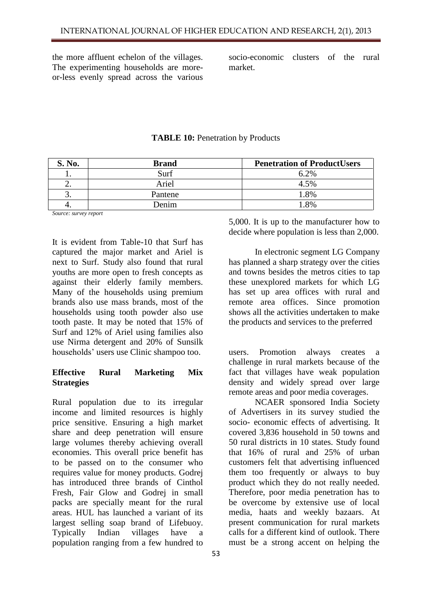the more affluent echelon of the villages. The experimenting households are moreor-less evenly spread across the various

socio-economic clusters of the rural market.

| S. No. | <b>Brand</b> | <b>Penetration of ProductUsers</b> |
|--------|--------------|------------------------------------|
| . .    | Surf         | 6.2%                               |
| ∠.     | Ariel        | 4.5%                               |
| J.     | Pantene      | 1.8%                               |
|        | Denim        | 18%                                |

**TABLE 10:** Penetration by Products

*Source: survey report*

It is evident from Table-10 that Surf has captured the major market and Ariel is next to Surf. Study also found that rural youths are more open to fresh concepts as against their elderly family members. Many of the households using premium brands also use mass brands, most of the households using tooth powder also use tooth paste. It may be noted that 15% of Surf and 12% of Ariel using families also use Nirma detergent and 20% of Sunsilk households' users use Clinic shampoo too.

## **Effective Rural Marketing Mix Strategies**

Rural population due to its irregular income and limited resources is highly price sensitive. Ensuring a high market share and deep penetration will ensure large volumes thereby achieving overall economies. This overall price benefit has to be passed on to the consumer who requires value for money products. Godrej has introduced three brands of Cinthol Fresh, Fair Glow and Godrej in small packs are specially meant for the rural areas. HUL has launched a variant of its largest selling soap brand of Lifebuoy. Typically Indian villages have a population ranging from a few hundred to 5,000. It is up to the manufacturer how to decide where population is less than 2,000.

In electronic segment LG Company has planned a sharp strategy over the cities and towns besides the metros cities to tap these unexplored markets for which LG has set up area offices with rural and remote area offices. Since promotion shows all the activities undertaken to make the products and services to the preferred

users. Promotion always creates a challenge in rural markets because of the fact that villages have weak population density and widely spread over large remote areas and poor media coverages.

NCAER sponsored India Society of Advertisers in its survey studied the socio- economic effects of advertising. It covered 3,836 household in 50 towns and 50 rural districts in 10 states. Study found that 16% of rural and 25% of urban customers felt that advertising influenced them too frequently or always to buy product which they do not really needed. Therefore, poor media penetration has to be overcome by extensive use of local media, haats and weekly bazaars. At present communication for rural markets calls for a different kind of outlook. There must be a strong accent on helping the